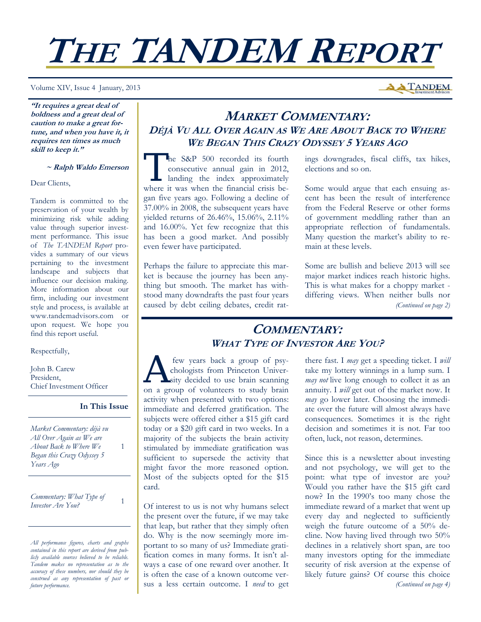# **THE TANDEM REPORT**

Volume XIV, Issue 4 January, 2013

**A TANDEM** 

**"It requires a great deal of boldness and a great deal of caution to make a great fortune, and when you have it, it requires ten times as much skill to keep it."** 

#### **~ Ralph Waldo Emerson**

Dear Clients,

Tandem is committed to the preservation of your wealth by minimizing risk while adding value through superior investment performance. This issue of *The TANDEM Report* provides a summary of our views pertaining to the investment landscape and subjects that influence our decision making. More information about our firm, including our investment style and process, is available at www.tandemadvisors.com or upon request. We hope you find this report useful.

Respectfully,

John B. Carew President, Chief Investment Officer

**In This Issue**

1

*Market Commentary: déjà vu All Over Again as We are About Back to Where We Began this Crazy Odyssey 5 Years Ago* 

*Commentary: What Type of Investor Are You?* <sup>1</sup>

*All performance figures, charts and graphs contained in this report are derived from publicly available sources believed to be reliable. Tandem makes no representation as to the accuracy of these numbers, nor should they be construed as any representation of past or future performance.* 

## **MARKET COMMENTARY: DÉJÀ VU ALL OVER AGAIN AS WE ARE ABOUT BACK TO WHERE WE BEGAN THIS CRAZY ODYSSEY 5 YEARS AGO**

The S&P 500 recorded its fourth<br>
consecutive annual gain in 2012,<br>
landing the index approximately consecutive annual gain in 2012, where it was when the financial crisis began five years ago. Following a decline of 37.00% in 2008, the subsequent years have yielded returns of 26.46%, 15.06%, 2.11% and 16.00%. Yet few recognize that this has been a good market. And possibly even fewer have participated.

Perhaps the failure to appreciate this market is because the journey has been anything but smooth. The market has withstood many downdrafts the past four years caused by debt ceiling debates, credit ratings downgrades, fiscal cliffs, tax hikes, elections and so on.

Some would argue that each ensuing ascent has been the result of interference from the Federal Reserve or other forms of government meddling rather than an appropriate reflection of fundamentals. Many question the market's ability to remain at these levels.

Some are bullish and believe 2013 will see major market indices reach historic highs. This is what makes for a choppy market differing views. When neither bulls nor *(Continued on page 2)* 

## **COMMENTARY: WHAT TYPE OF INVESTOR ARE YOU?**

few years back a group of psy-<br>chologists from Princeton Univer-<br>sity decided to use brain scanning chologists from Princeton University decided to use brain scanning on a group of volunteers to study brain activity when presented with two options: immediate and deferred gratification. The subjects were offered either a \$15 gift card today or a \$20 gift card in two weeks. In a majority of the subjects the brain activity stimulated by immediate gratification was sufficient to supersede the activity that might favor the more reasoned option. Most of the subjects opted for the \$15 card.

Of interest to us is not why humans select the present over the future, if we may take that leap, but rather that they simply often do. Why is the now seemingly more important to so many of us? Immediate gratification comes in many forms. It isn't always a case of one reward over another. It is often the case of a known outcome versus a less certain outcome. I *need* to get there fast. I *may* get a speeding ticket. I *will* take my lottery winnings in a lump sum. I *may not* live long enough to collect it as an annuity. I *will* get out of the market now. It *may* go lower later. Choosing the immediate over the future will almost always have consequences. Sometimes it is the right decision and sometimes it is not. Far too often, luck, not reason, determines.

Since this is a newsletter about investing and not psychology, we will get to the point: what type of investor are you? Would you rather have the \$15 gift card now? In the 1990's too many chose the immediate reward of a market that went up every day and neglected to sufficiently weigh the future outcome of a 50% decline. Now having lived through two 50% declines in a relatively short span, are too many investors opting for the immediate security of risk aversion at the expense of likely future gains? Of course this choice *(Continued on page 4)*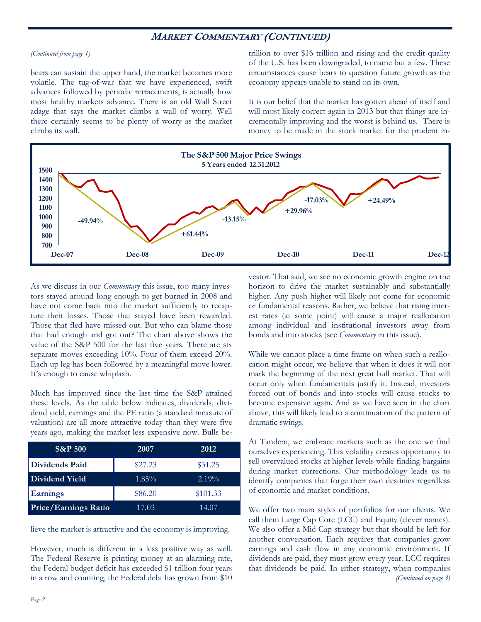### **MARKET COMMENTARY (CONTINUED)**

#### *(Continued from page 1)*

bears can sustain the upper hand, the market becomes more volatile. The tug-of-war that we have experienced, swift advances followed by periodic retracements, is actually how most healthy markets advance. There is an old Wall Street adage that says the market climbs a wall of worry. Well there certainly seems to be plenty of worry as the market climbs its wall.

trillion to over \$16 trillion and rising and the credit quality of the U.S. has been downgraded, to name but a few. These circumstances cause bears to question future growth as the economy appears unable to stand on its own.

It is our belief that the market has gotten ahead of itself and will most likely correct again in 2013 but that things are incrementally improving and the worst is behind us. There is money to be made in the stock market for the prudent in-



As we discuss in our *Commentary* this issue, too many investors stayed around long enough to get burned in 2008 and have not come back into the market sufficiently to recapture their losses. Those that stayed have been rewarded. Those that fled have missed out. But who can blame those that had enough and got out? The chart above shows the value of the S&P 500 for the last five years. There are six separate moves exceeding 10%. Four of them exceed 20%. Each up leg has been followed by a meaningful move lower. It's enough to cause whiplash.

Much has improved since the last time the S&P attained these levels. As the table below indicates, dividends, dividend yield, earnings and the PE ratio (a standard measure of valuation) are all more attractive today than they were five years ago, making the market less expensive now. Bulls be-

| <b>S&amp;P 500</b>   | 2007     | 2012     |
|----------------------|----------|----------|
| Dividends Paid       | \$27.23  | \$31.25  |
| Dividend Yield       | $1.85\%$ | $2.19\%$ |
| <b>Earnings</b>      | \$86.20  | \$101.33 |
| Price/Earnings Ratio | 17.03    | 14.07    |

lieve the market is attractive and the economy is improving.

However, much is different in a less positive way as well. The Federal Reserve is printing money at an alarming rate, the Federal budget deficit has exceeded \$1 trillion four years in a row and counting, the Federal debt has grown from \$10

vestor. That said, we see no economic growth engine on the horizon to drive the market sustainably and substantially higher. Any push higher will likely not come for economic or fundamental reasons. Rather, we believe that rising interest rates (at some point) will cause a major reallocation among individual and institutional investors away from bonds and into stocks (see *Commentary* in this issue).

While we cannot place a time frame on when such a reallocation might occur, we believe that when it does it will not mark the beginning of the next great bull market. That will occur only when fundamentals justify it. Instead, investors forced out of bonds and into stocks will cause stocks to become expensive again. And as we have seen in the chart above, this will likely lead to a continuation of the pattern of dramatic swings.

At Tandem, we embrace markets such as the one we find ourselves experiencing. This volatility creates opportunity to sell overvalued stocks at higher levels while finding bargains during market corrections. Our methodology leads us to identify companies that forge their own destinies regardless of economic and market conditions.

We offer two main styles of portfolios for our clients. We call them Large Cap Core (LCC) and Equity (clever names). We also offer a Mid Cap strategy but that should be left for another conversation. Each requires that companies grow earnings and cash flow in any economic environment. If dividends are paid, they must grow every year. LCC requires that dividends be paid. In either strategy, when companies *(Continued on page 3)*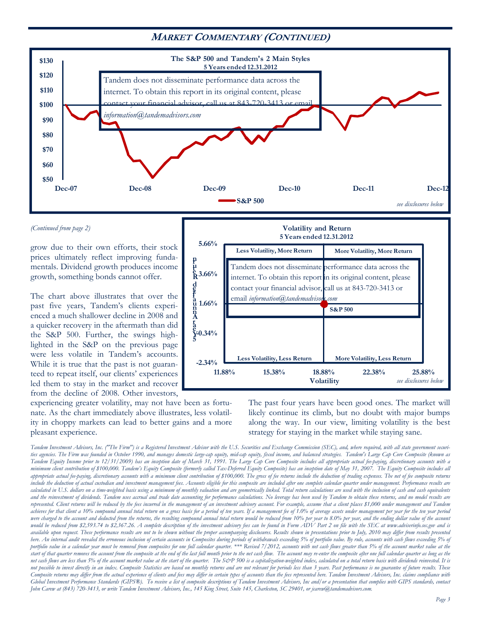## **MARKET COMMENTARY (CONTINUED)**



#### *(Continued from page 2)*

grow due to their own efforts, their stock prices ultimately reflect improving fundamentals. Dividend growth produces income growth, something bonds cannot offer.

The chart above illustrates that over the past five years, Tandem's clients experienced a much shallower decline in 2008 and a quicker recovery in the aftermath than did the S&P 500. Further, the swings highlighted in the S&P on the previous page were less volatile in Tandem's accounts. While it is true that the past is not guaranteed to repeat itself, our clients' experiences led them to stay in the market and recover from the decline of 2008. Other investors,

experiencing greater volatility, may not have been as fortunate. As the chart immediately above illustrates, less volatility in choppy markets can lead to better gains and a more pleasant experience.



The past four years have been good ones. The market will likely continue its climb, but no doubt with major bumps along the way. In our view, limiting volatility is the best strategy for staying in the market while staying sane.

*Tandem Investment Advisors, Inc. ("The Firm") is a Registered Investment Advisor with the U.S. Securities and Exchange Commission (SEC), and, where required, with all state government securities agencies. The Firm was founded in October 1990, and manages domestic large-cap equity, mid-cap equity, fixed income, and balanced strategies. Tandem's Large Cap Core Composite (known as Tandem Equity Income prior to 12/31/2009) has an inception date of March 31, 1991. The Large Cap Core Composite includes all appropriate actual fee-paying, discretionary accounts with a minimum client contribution of \$100,000. Tandem's Equity Composite (formerly called Tax-Deferred Equity Composite) has an inception date of May 31, 2007. The Equity Composite includes all appropriate actual fee-paying, discretionary accounts with a minimum client contribution of \$100,000. The gross of fee returns include the deduction of trading expenses. The net of fee composite returns include the deduction of actual custodian and investment management fees. Accounts eligible for this composite are included after one complete calendar quarter under management. Performance results are calculated in U.S. dollars on a time-weighted basis using a minimum of monthly valuation and are geometrically linked. Total return calculations are used with the inclusion of cash and cash equivalents and the reinvestment of dividends. Tandem uses accrual and trade date accounting for performance calculations. No leverage has been used by Tandem to obtain these returns, and no model results are represented. Client returns will be reduced by the fees incurred in the management of an investment advisory account. For example, assume that a client places \$1,000 under management and Tandem achieves for that client a 10% compound annual total return on a gross basis for a period of ten years. If a management fee of 1.0% of average assets under management per year for the ten year period*  were charged to the account and deducted from the returns, the resulting compound annual total return would be reduced from 10% per year to 8.0% per year, and the ending dollar value of the account would be reduced from \$2,593.74 to \$2,367.26. A complete description of the investment advisory fees can be found in Form ADV Part 2 on file with the SEC at www.adviserinfo.sec.gov and is *available upon request. These performance results are not to be shown without the proper accompanying disclosures. Results shown in presentations prior to July, 2010 may differ from results presented here. An internal audit revealed the erroneous inclusion of certain accounts in Composites during periods of withdrawals exceeding 5% of portfolio value. By rule, accounts with cash flows exceeding 5% of*  portfolio value in a calendar year must be removed from composites for one full calendar quarter. \*\*\* Revised 7/2012, accounts with net cash flows greater than 5% of the account market value at the *start of that quarter removes the account from the composite at the end of the last full month prior to the net cash flow. The account may re-enter the composite after one full calendar quarter as long as the net cash flows are less than 5% of the account market value at the start of the quarter. The S&P 500 is a capitalization-weighted index, calculated on a total return basis with dividends reinvested. It is not possible to invest directly in an index. Composite Statistics are based on monthly returns and are not relevant for periods less than 3 years. Past performance is no guarantee of future results. These*  Composite returns may differ from the actual experience of clients and fees may differ in certain types of accounts than the fees represented here. Tandem Investment Advisors, Inc. claims compliance with *Global Investment Performance Standards (GIPS®). To receive a list of composite descriptions of Tandem Investment Advisors, Inc and/or a presentation that complies with GIPS standards, contact John Carew at (843) 720-3413, or write Tandem Investment Advisors, Inc., 145 King Street, Suite 145, Charleston, SC 29401, or jcarew@tandemadvisors.com.*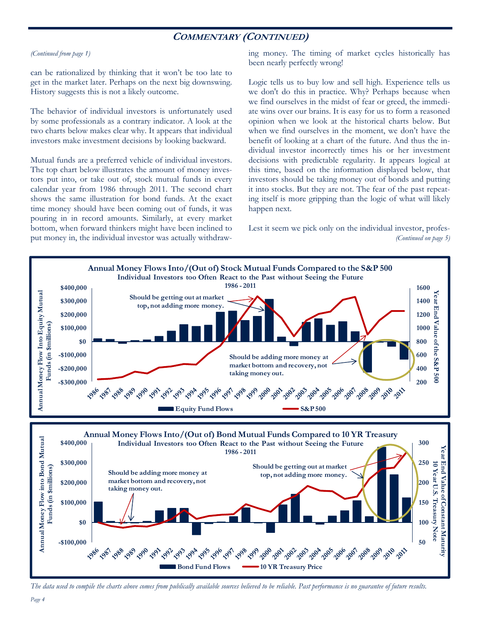## **COMMENTARY (CONTINUED)**

#### *(Continued from page 1)*

can be rationalized by thinking that it won't be too late to get in the market later. Perhaps on the next big downswing. History suggests this is not a likely outcome.

The behavior of individual investors is unfortunately used by some professionals as a contrary indicator. A look at the two charts below makes clear why. It appears that individual investors make investment decisions by looking backward.

Mutual funds are a preferred vehicle of individual investors. The top chart below illustrates the amount of money investors put into, or take out of, stock mutual funds in every calendar year from 1986 through 2011. The second chart shows the same illustration for bond funds. At the exact time money should have been coming out of funds, it was pouring in in record amounts. Similarly, at every market bottom, when forward thinkers might have been inclined to put money in, the individual investor was actually withdrawing money. The timing of market cycles historically has been nearly perfectly wrong!

Logic tells us to buy low and sell high. Experience tells us we don't do this in practice. Why? Perhaps because when we find ourselves in the midst of fear or greed, the immediate wins over our brains. It is easy for us to form a reasoned opinion when we look at the historical charts below. But when we find ourselves in the moment, we don't have the benefit of looking at a chart of the future. And thus the individual investor incorrectly times his or her investment decisions with predictable regularity. It appears logical at this time, based on the information displayed below, that investors should be taking money out of bonds and putting it into stocks. But they are not. The fear of the past repeating itself is more gripping than the logic of what will likely happen next.

Lest it seem we pick only on the individual investor, profes- *(Continued on page 5)* 



*The data used to compile the charts above comes from publically available sources believed to be reliable. Past performance is no guarantee of future results.*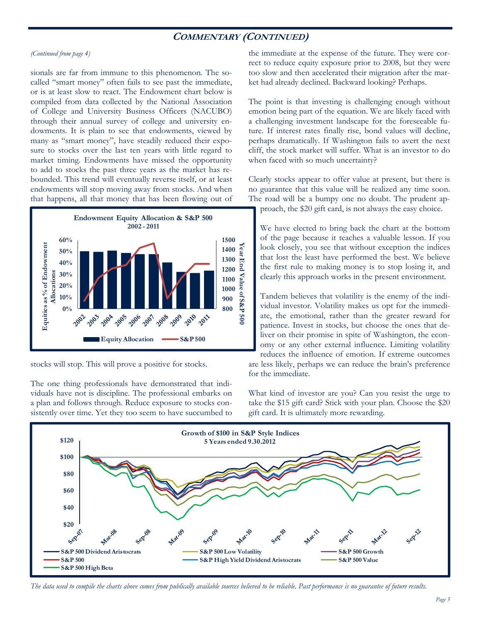## **COMMENTARY (CONTINUED)**

#### *(Continued from page 4)*

sionals are far from immune to this phenomenon. The socalled "smart money" often fails to see past the immediate, or is at least slow to react. The Endowment chart below is compiled from data collected by the National Association of College and University Business Officers (NACUBO) through their annual survey of college and university endowments. It is plain to see that endowments, viewed by many as "smart money", have steadily reduced their exposure to stocks over the last ten years with little regard to market timing. Endowments have missed the opportunity to add to stocks the past three years as the market has rebounded. This trend will eventually reverse itself, or at least endowments will stop moving away from stocks. And when that happens, all that money that has been flowing out of



stocks will stop. This will prove a positive for stocks.

The one thing professionals have demonstrated that individuals have not is discipline. The professional embarks on a plan and follows through. Reduce exposure to stocks consistently over time. Yet they too seem to have succumbed to the immediate at the expense of the future. They were correct to reduce equity exposure prior to 2008, but they were too slow and then accelerated their migration after the market had already declined. Backward looking? Perhaps.

The point is that investing is challenging enough without emotion being part of the equation. We are likely faced with a challenging investment landscape for the foreseeable future. If interest rates finally rise, bond values will decline, perhaps dramatically. If Washington fails to avert the next cliff, the stock market will suffer. What is an investor to do when faced with so much uncertainty?

Clearly stocks appear to offer value at present, but there is no guarantee that this value will be realized any time soon. The road will be a bumpy one no doubt. The prudent approach, the \$20 gift card, is not always the easy choice.

We have elected to bring back the chart at the bottom of the page because it teaches a valuable lesson. If you look closely, you see that without exception the indices that lost the least have performed the best. We believe the first rule to making money is to stop losing it, and clearly this approach works in the present environment.

Tandem believes that volatility is the enemy of the individual investor. Volatility makes us opt for the immediate, the emotional, rather than the greater reward for patience. Invest in stocks, but choose the ones that deliver on their promise in spite of Washington, the economy or any other external influence. Limiting volatility reduces the influence of emotion. If extreme outcomes are less likely, perhaps we can reduce the brain's preference

What kind of investor are you? Can you resist the urge to take the \$15 gift card? Stick with your plan. Choose the \$20 gift card. It is ultimately more rewarding.



for the immediate.

*The data used to compile the charts above comes from publically available sources believed to be reliable. Past performance is no guarantee of future results.*